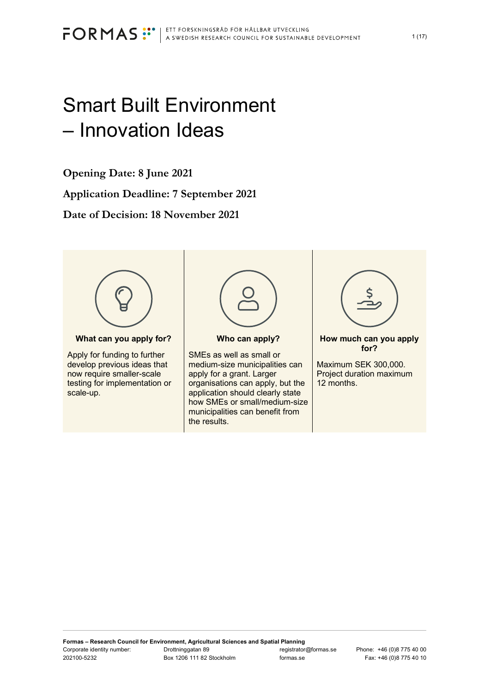# Smart Built Environment – Innovation Ideas

**Opening Date: 8 June 2021**

**Application Deadline: 7 September 2021**

**Date of Decision: 18 November 2021**



**What can you apply for?**

Apply for funding to further develop previous ideas that now require smaller-scale testing for implementation or scale-up.



#### **Who can apply?**

SMEs as well as small or medium-size municipalities can apply for a grant. Larger organisations can apply, but the application should clearly state how SMEs or small/medium-size municipalities can benefit from the results.



**How much can you apply for?**

Maximum SEK 300,000. Project duration maximum 12 months.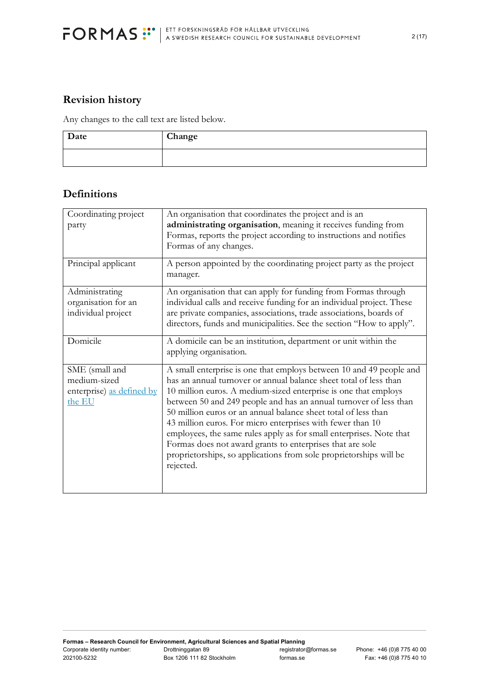

# **Revision history**

Any changes to the call text are listed below.

| Date | Change |
|------|--------|
|      |        |

# **Definitions**

| Coordinating project<br>party                                         | An organisation that coordinates the project and is an<br>administrating organisation, meaning it receives funding from<br>Formas, reports the project according to instructions and notifies<br>Formas of any changes.                                                                                                                                                                                                                                                                                                                                                                                                                 |
|-----------------------------------------------------------------------|-----------------------------------------------------------------------------------------------------------------------------------------------------------------------------------------------------------------------------------------------------------------------------------------------------------------------------------------------------------------------------------------------------------------------------------------------------------------------------------------------------------------------------------------------------------------------------------------------------------------------------------------|
| Principal applicant                                                   | A person appointed by the coordinating project party as the project<br>manager.                                                                                                                                                                                                                                                                                                                                                                                                                                                                                                                                                         |
| Administrating<br>organisation for an<br>individual project           | An organisation that can apply for funding from Formas through<br>individual calls and receive funding for an individual project. These<br>are private companies, associations, trade associations, boards of<br>directors, funds and municipalities. See the section "How to apply".                                                                                                                                                                                                                                                                                                                                                   |
| Domicile                                                              | A domicile can be an institution, department or unit within the<br>applying organisation.                                                                                                                                                                                                                                                                                                                                                                                                                                                                                                                                               |
| SME (small and<br>medium-sized<br>enterprise) as defined by<br>the EU | A small enterprise is one that employs between 10 and 49 people and<br>has an annual turnover or annual balance sheet total of less than<br>10 million euros. A medium-sized enterprise is one that employs<br>between 50 and 249 people and has an annual turnover of less than<br>50 million euros or an annual balance sheet total of less than<br>43 million euros. For micro enterprises with fewer than 10<br>employees, the same rules apply as for small enterprises. Note that<br>Formas does not award grants to enterprises that are sole<br>proprietorships, so applications from sole proprietorships will be<br>rejected. |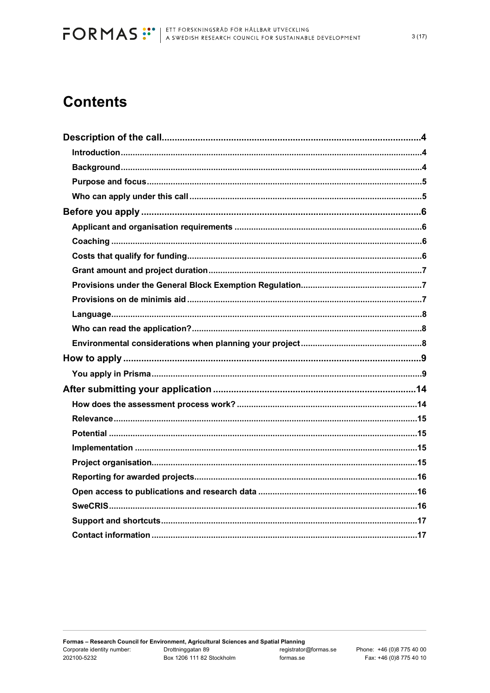# **Contents**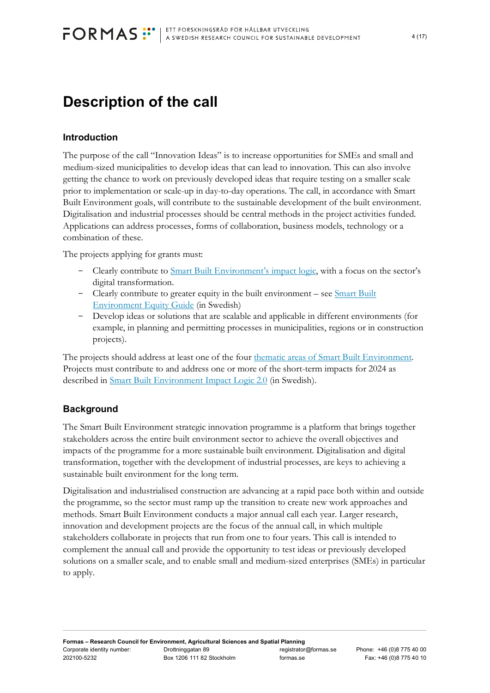# <span id="page-3-0"></span>**Description of the call**

# <span id="page-3-1"></span>**Introduction**

The purpose of the call "Innovation Ideas" is to increase opportunities for SMEs and small and medium-sized municipalities to develop ideas that can lead to innovation. This can also involve getting the chance to work on previously developed ideas that require testing on a smaller scale prior to implementation or scale-up in day-to-day operations. The call, in accordance with Smart Built Environment goals, will contribute to the sustainable development of the built environment. Digitalisation and industrial processes should be central methods in the project activities funded. Applications can address processes, forms of collaboration, business models, technology or a combination of these.

The projects applying for grants must:

- Clearly contribute to **Smart Built Environment's impact logic**, with a focus on the sector's digital transformation.
- Clearly contribute to greater equity in the built environment see Smart Built [Environment Equity](https://smartbuilt.se/verktyg/mallar-och-verktyg-for-kommunikation/jamlikhetsguide/) Guide (in Swedish)
- Develop ideas or solutions that are scalable and applicable in different environments (for example, in planning and permitting processes in municipalities, regions or in construction projects).

The projects should address at least one of the four [thematic areas of Smart Built Environment.](https://smartbuilt.se/om-oss/verksamhet/strategin/effektlogik-2-0/) Projects must contribute to and address one or more of the short-term impacts for 2024 as described in [Smart Built Environment Impact Logic 2.0](https://smartbuilt.se/media/4trkgu5c/effektlogik-version-2-0.pdf) (in Swedish).

# <span id="page-3-2"></span>**Background**

The Smart Built Environment strategic innovation programme is a platform that brings together stakeholders across the entire built environment sector to achieve the overall objectives and impacts of the programme for a more sustainable built environment. Digitalisation and digital transformation, together with the development of industrial processes, are keys to achieving a sustainable built environment for the long term.

Digitalisation and industrialised construction are advancing at a rapid pace both within and outside the programme, so the sector must ramp up the transition to create new work approaches and methods. Smart Built Environment conducts a major annual call each year. Larger research, innovation and development projects are the focus of the annual call, in which multiple stakeholders collaborate in projects that run from one to four years. This call is intended to complement the annual call and provide the opportunity to test ideas or previously developed solutions on a smaller scale, and to enable small and medium-sized enterprises (SMEs) in particular to apply.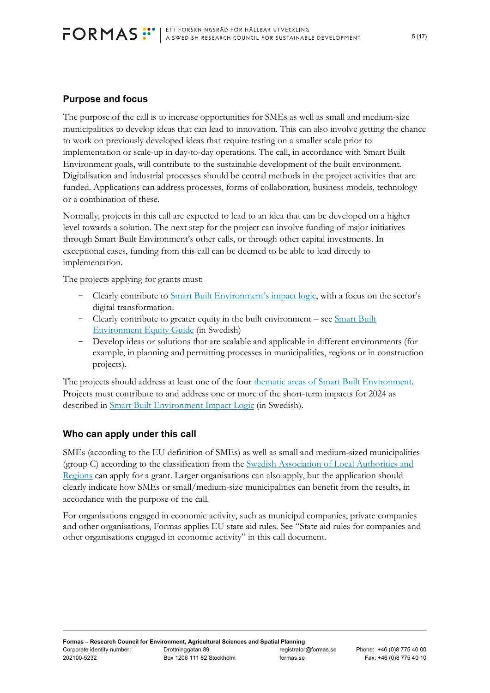# <span id="page-4-0"></span>**Purpose and focus**

The purpose of the call is to increase opportunities for SMEs as well as small and medium-size municipalities to develop ideas that can lead to innovation. This can also involve getting the chance to work on previously developed ideas that require testing on a smaller scale prior to implementation or scale-up in day-to-day operations. The call, in accordance with Smart Built Environment goals, will contribute to the sustainable development of the built environment. Digitalisation and industrial processes should be central methods in the project activities that are funded. Applications can address processes, forms of collaboration, business models, technology or a combination of these.

Normally, projects in this call are expected to lead to an idea that can be developed on a higher level towards a solution. The next step for the project can involve funding of major initiatives through Smart Built Environment's other calls, or through other capital investments. In exceptional cases, funding from this call can be deemed to be able to lead directly to implementation.

The projects applying for grants must:

- Clearly contribute to [Smart Built Environment's impact logic,](https://smartbuilt.se/om-oss/verksamhet/strategin/effektlogik-2-0/) with a focus on the sector's digital transformation.
- Clearly contribute to greater equity in the built environment see [Smart Built](https://smartbuilt.se/verktyg/mallar-och-verktyg-for-kommunikation/jamlikhetsguide/)  [Environment Equity](https://smartbuilt.se/verktyg/mallar-och-verktyg-for-kommunikation/jamlikhetsguide/) Guide (in Swedish)
- Develop ideas or solutions that are scalable and applicable in different environments (for example, in planning and permitting processes in municipalities, regions or in construction projects).

The projects should address at least one of the four [thematic areas of Smart Built Environment.](https://smartbuilt.se/om-oss/verksamhet/strategin/effektlogik-2-0/) Projects must contribute to and address one or more of the short-term impacts for 2024 as described in [Smart Built Environment Impact Logic](https://smartbuilt.se/media/4trkgu5c/effektlogik-version-2-0.pdf) (in Swedish).

# <span id="page-4-1"></span>**Who can apply under this call**

SMEs (according to the EU definition of SMEs) as well as small and medium-sized municipalities (group C) according to the classification from the [Swedish Association of Local Authorities and](https://skr.se/tjanster/kommunerochregioner/faktakommunerochregioner/kommungruppsindelning.2051.html)  [Regions](https://skr.se/tjanster/kommunerochregioner/faktakommunerochregioner/kommungruppsindelning.2051.html) can apply for a grant. Larger organisations can also apply, but the application should clearly indicate how SMEs or small/medium-size municipalities can benefit from the results, in accordance with the purpose of the call.

For organisations engaged in economic activity, such as municipal companies, private companies and other organisations, Formas applies EU state aid rules. See "State aid rules for companies and other organisations engaged in economic activity" in this call document.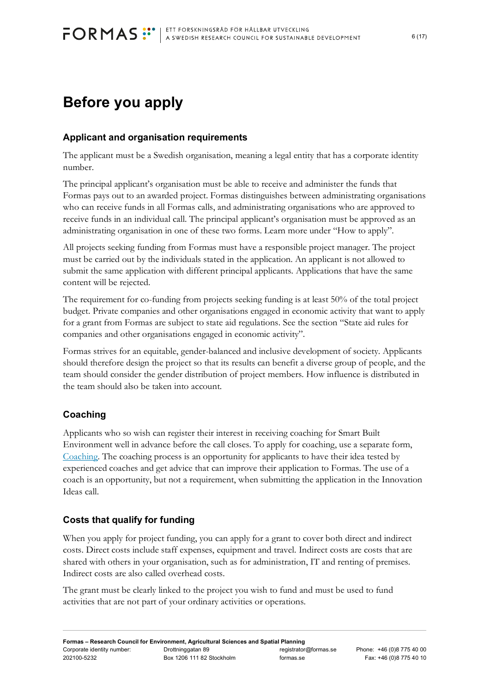# <span id="page-5-0"></span>**Before you apply**

# <span id="page-5-1"></span>**Applicant and organisation requirements**

The applicant must be a Swedish organisation, meaning a legal entity that has a corporate identity number.

The principal applicant's organisation must be able to receive and administer the funds that Formas pays out to an awarded project. Formas distinguishes between administrating organisations who can receive funds in all Formas calls, and administrating organisations who are approved to receive funds in an individual call. The principal applicant's organisation must be approved as an administrating organisation in one of these two forms. Learn more under "How to apply".

All projects seeking funding from Formas must have a responsible project manager. The project must be carried out by the individuals stated in the application. An applicant is not allowed to submit the same application with different principal applicants. Applications that have the same content will be rejected.

The requirement for co-funding from projects seeking funding is at least 50% of the total project budget. Private companies and other organisations engaged in economic activity that want to apply for a grant from Formas are subject to state aid regulations. See the section "State aid rules for companies and other organisations engaged in economic activity".

Formas strives for an equitable, gender-balanced and inclusive development of society. Applicants should therefore design the project so that its results can benefit a diverse group of people, and the team should consider the gender distribution of project members. How influence is distributed in the team should also be taken into account.

# <span id="page-5-2"></span>**Coaching**

Applicants who so wish can register their interest in receiving coaching for Smart Built Environment well in advance before the call closes. To apply for coaching, use a separate form, [Coaching.](https://smartbuilt.se/aktuellt/nyheter/2021/210422-innovationside-och-coachning/) The coaching process is an opportunity for applicants to have their idea tested by experienced coaches and get advice that can improve their application to Formas. The use of a coach is an opportunity, but not a requirement, when submitting the application in the Innovation Ideas call.

# <span id="page-5-3"></span>**Costs that qualify for funding**

When you apply for project funding, you can apply for a grant to cover both direct and indirect costs. Direct costs include staff expenses, equipment and travel. Indirect costs are costs that are shared with others in your organisation, such as for administration, IT and renting of premises. Indirect costs are also called overhead costs.

The grant must be clearly linked to the project you wish to fund and must be used to fund activities that are not part of your ordinary activities or operations.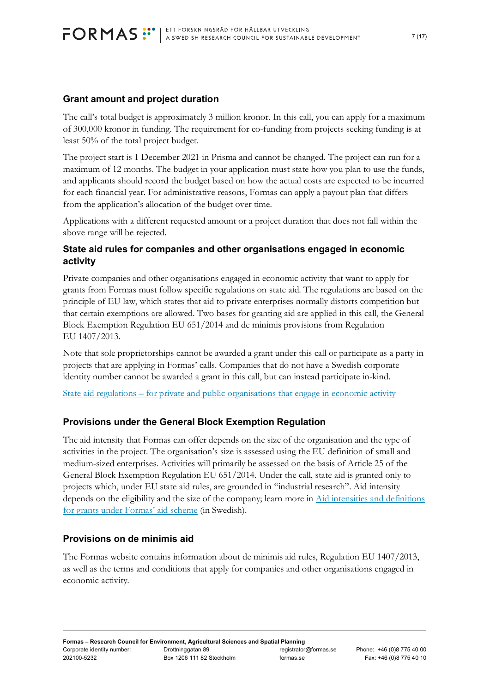# <span id="page-6-0"></span>**Grant amount and project duration**

The call's total budget is approximately 3 million kronor. In this call, you can apply for a maximum of 300,000 kronor in funding. The requirement for co-funding from projects seeking funding is at least 50% of the total project budget.

The project start is 1 December 2021 in Prisma and cannot be changed. The project can run for a maximum of 12 months. The budget in your application must state how you plan to use the funds, and applicants should record the budget based on how the actual costs are expected to be incurred for each financial year. For administrative reasons, Formas can apply a payout plan that differs from the application's allocation of the budget over time.

Applications with a different requested amount or a project duration that does not fall within the above range will be rejected.

# **State aid rules for companies and other organisations engaged in economic activity**

Private companies and other organisations engaged in economic activity that want to apply for grants from Formas must follow specific regulations on state aid. The regulations are based on the principle of EU law, which states that aid to private enterprises normally distorts competition but that certain exemptions are allowed. Two bases for granting aid are applied in this call, the General Block Exemption Regulation EU 651/2014 and de minimis provisions from Regulation EU 1407/2013.

Note that sole proprietorships cannot be awarded a grant under this call or participate as a party in projects that are applying in Formas' calls. Companies that do not have a Swedish corporate identity number cannot be awarded a grant in this call, but can instead participate in-kind.

State aid regulations – [for private and public organisations that engage in economic activity](https://www.formas.se/en/start-page/applying-for-funding/different-types-of-financing/strategic-innovation-programmes/state-aid-regulations----for-private-and-public-organisations-that-engage-in-economic-activity.html#h-Vikanfinansieradelaravprojekt)

# <span id="page-6-1"></span>**Provisions under the General Block Exemption Regulation**

The aid intensity that Formas can offer depends on the size of the organisation and the type of activities in the project. The organisation's size is assessed using the EU definition of small and medium-sized enterprises. Activities will primarily be assessed on the basis of Article 25 of the General Block Exemption Regulation EU 651/2014. Under the call, state aid is granted only to projects which, under EU state aid rules, are grounded in "industrial research". Aid intensity depends on the eligibility and the size of the company; learn more in [Aid intensities and definitions](https://www.formas.se/download/18.166aa05167c62dff5d7225a/1549969148815/tabell%20f%C3%B6r%20St%C3%B6dniv%C3%A5er%20Formas%20st%C3%B6df%C3%B6rordning.pdf)  [for grants under Formas' aid scheme](https://www.formas.se/download/18.166aa05167c62dff5d7225a/1549969148815/tabell%20f%C3%B6r%20St%C3%B6dniv%C3%A5er%20Formas%20st%C3%B6df%C3%B6rordning.pdf) (in Swedish).

### <span id="page-6-2"></span>**Provisions on de minimis aid**

The Formas website contains information about de minimis aid rules, Regulation EU 1407/2013, as well as the terms and conditions that apply for companies and other organisations engaged in economic activity.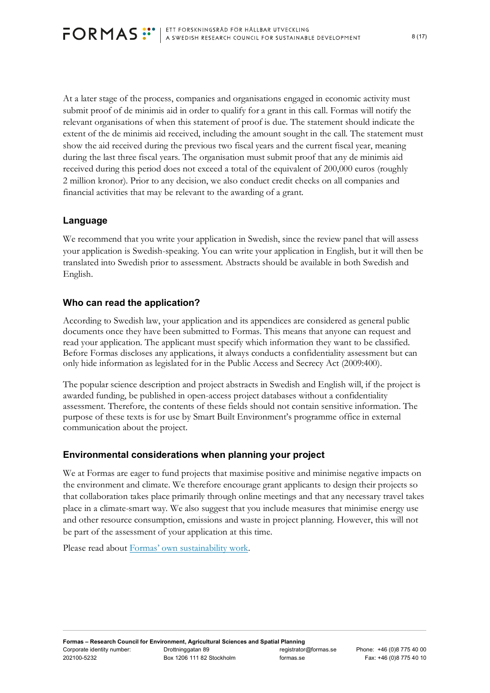At a later stage of the process, companies and organisations engaged in economic activity must submit proof of de minimis aid in order to qualify for a grant in this call. Formas will notify the relevant organisations of when this statement of proof is due. The statement should indicate the extent of the de minimis aid received, including the amount sought in the call. The statement must show the aid received during the previous two fiscal years and the current fiscal year, meaning during the last three fiscal years. The organisation must submit proof that any de minimis aid received during this period does not exceed a total of the equivalent of 200,000 euros (roughly 2 million kronor). Prior to any decision, we also conduct credit checks on all companies and financial activities that may be relevant to the awarding of a grant.

# <span id="page-7-0"></span>**Language**

We recommend that you write your application in Swedish, since the review panel that will assess your application is Swedish-speaking. You can write your application in English, but it will then be translated into Swedish prior to assessment. Abstracts should be available in both Swedish and English.

# <span id="page-7-1"></span>**Who can read the application?**

According to Swedish law, your application and its appendices are considered as general public documents once they have been submitted to Formas. This means that anyone can request and read your application. The applicant must specify which information they want to be classified. Before Formas discloses any applications, it always conducts a confidentiality assessment but can only hide information as legislated for in the Public Access and Secrecy Act (2009:400).

The popular science description and project abstracts in Swedish and English will, if the project is awarded funding, be published in open-access project databases without a confidentiality assessment. Therefore, the contents of these fields should not contain sensitive information. The purpose of these texts is for use by Smart Built Environment's programme office in external communication about the project.

# <span id="page-7-2"></span>**Environmental considerations when planning your project**

We at Formas are eager to fund projects that maximise positive and minimise negative impacts on the environment and climate. We therefore encourage grant applicants to design their projects so that collaboration takes place primarily through online meetings and that any necessary travel takes place in a climate-smart way. We also suggest that you include measures that minimise energy use and other resource consumption, emissions and waste in project planning. However, this will not be part of the assessment of your application at this time.

Please read about [Formas' own sustainability work.](https://www.formas.se/en/start-page/about-formas/how-formas-is-governed/sustainability-at-formas.html)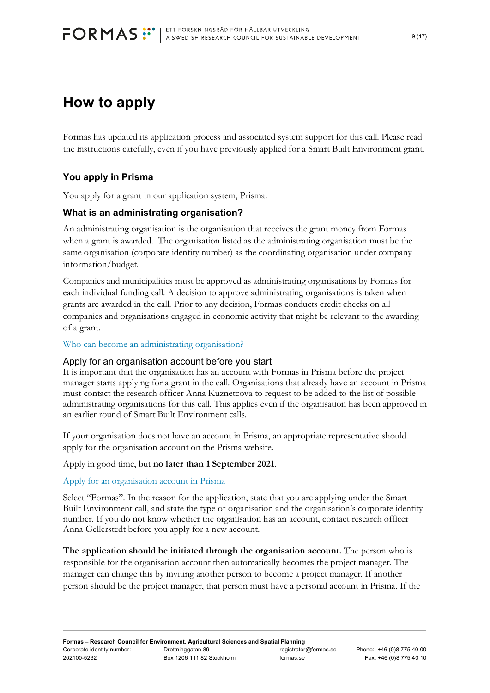# <span id="page-8-0"></span>**How to apply**

Formas has updated its application process and associated system support for this call. Please read the instructions carefully, even if you have previously applied for a Smart Built Environment grant.

# <span id="page-8-1"></span>**You apply in Prisma**

You apply for a grant in our application system, Prisma.

## **What is an administrating organisation?**

An administrating organisation is the organisation that receives the grant money from Formas when a grant is awarded. The organisation listed as the administrating organisation must be the same organisation (corporate identity number) as the coordinating organisation under company information/budget.

Companies and municipalities must be approved as administrating organisations by Formas for each individual funding call. A decision to approve administrating organisations is taken when grants are awarded in the call. Prior to any decision, Formas conducts credit checks on all companies and organisations engaged in economic activity that might be relevant to the awarding of a grant.

[Who can become an administrating organisation?](https://formas.se/en/start-page/applying-for-funding/how-it-works/who-can-apply-for-funding/who-can-become-an-administrating-organisation.html)

### Apply for an organisation account before you start

It is important that the organisation has an account with Formas in Prisma before the project manager starts applying for a grant in the call. Organisations that already have an account in Prisma must contact the research officer Anna Kuznetcova to request to be added to the list of possible administrating organisations for this call. This applies even if the organisation has been approved in an earlier round of Smart Built Environment calls.

If your organisation does not have an account in Prisma, an appropriate representative should apply for the organisation account on the Prisma website.

#### Apply in good time, but **no later than 1 September 2021**.

#### [Apply for an organisation account in Prisma](https://prismasupport.research.se/user-manual/create-account/organisation-account.html)

Select "Formas". In the reason for the application, state that you are applying under the Smart Built Environment call, and state the type of organisation and the organisation's corporate identity number. If you do not know whether the organisation has an account, contact research officer Anna Gellerstedt before you apply for a new account.

**The application should be initiated through the organisation account.** The person who is responsible for the organisation account then automatically becomes the project manager. The manager can change this by inviting another person to become a project manager. If another person should be the project manager, that person must have a personal account in Prisma. If the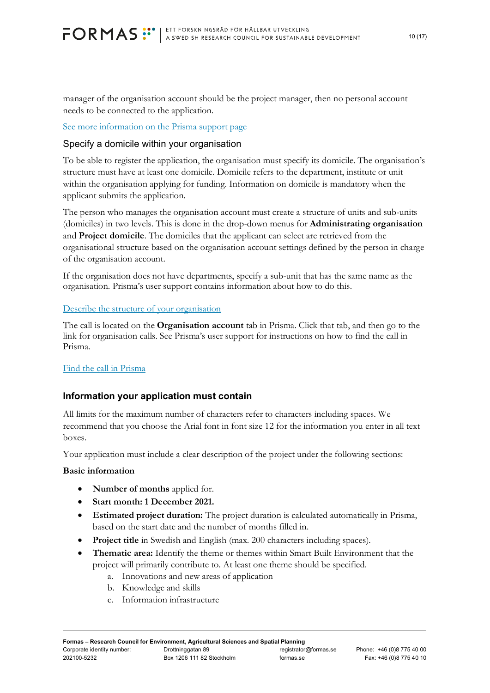manager of the organisation account should be the project manager, then no personal account needs to be connected to the application.

[See more information on the Prisma support page](https://prismasupport.research.se/user-manual/organisation-account.html)

### Specify a domicile within your organisation

To be able to register the application, the organisation must specify its domicile. The organisation's structure must have at least one domicile. Domicile refers to the department, institute or unit within the organisation applying for funding. Information on domicile is mandatory when the applicant submits the application.

The person who manages the organisation account must create a structure of units and sub-units (domiciles) in two levels. This is done in the drop-down menus for **Administrating organisation** and **Project domicile**. The domiciles that the applicant can select are retrieved from the organisational structure based on the organisation account settings defined by the person in charge of the organisation account.

If the organisation does not have departments, specify a sub-unit that has the same name as the organisation. Prisma's user support contains information about how to do this.

### [Describe the structure of your organisation](https://prismasupport.research.se/user-manual/organisation-account/structure.html)

The call is located on the **Organisation account** tab in Prisma. Click that tab, and then go to the link for organisation calls. See Prisma's user support for instructions on how to find the call in Prisma.

### [Find the call in Prisma](https://prismasupport.research.se/user-manual/organisation-account/calls-for-organisations.html)

# **Information your application must contain**

All limits for the maximum number of characters refer to characters including spaces. We recommend that you choose the Arial font in font size 12 for the information you enter in all text boxes.

Your application must include a clear description of the project under the following sections:

### **Basic information**

- **Number of months** applied for.
- **Start month: 1 December 2021.**
- **Estimated project duration:** The project duration is calculated automatically in Prisma, based on the start date and the number of months filled in.
- **Project title** in Swedish and English (max. 200 characters including spaces).
- **Thematic area:** Identify the theme or themes within Smart Built Environment that the project will primarily contribute to. At least one theme should be specified.
	- a. Innovations and new areas of application
	- b. Knowledge and skills
	- c. Information infrastructure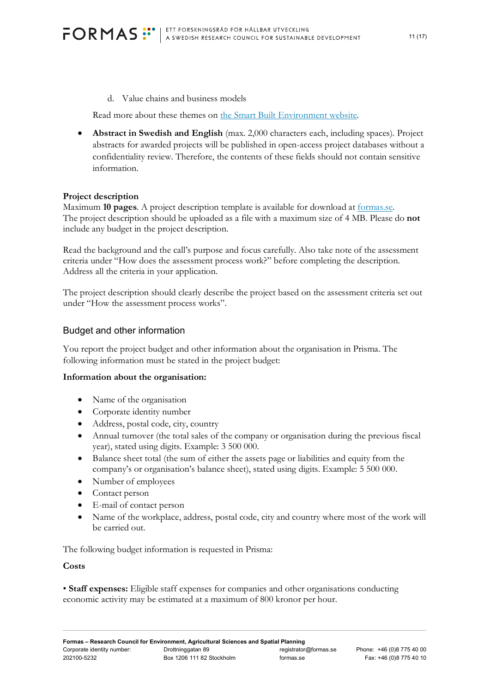d. Value chains and business models

Read more about these themes on [the Smart Built Environment website.](https://smartbuilt.se/in-english/thematic-areas/)

• **Abstract in Swedish and English** (max. 2,000 characters each, including spaces). Project abstracts for awarded projects will be published in open-access project databases without a confidentiality review. Therefore, the contents of these fields should not contain sensitive information.

#### **Project description**

Maximum **10 pages**. A project description template is available for download at [formas.se.](https://vinnova-my.sharepoint.com/personal/christer_blomback_formas_se/Documents/Jobb/SIP/SIP%20utlysningar/Utlysning%209/www,formas.se/smartbuilt-i-praktiken) The project description should be uploaded as a file with a maximum size of 4 MB. Please do **not** include any budget in the project description.

Read the background and the call's purpose and focus carefully. Also take note of the assessment criteria under "How does the assessment process work?" before completing the description. Address all the criteria in your application.

The project description should clearly describe the project based on the assessment criteria set out under "How the assessment process works".

#### Budget and other information

You report the project budget and other information about the organisation in Prisma. The following information must be stated in the project budget:

#### **Information about the organisation:**

- Name of the organisation
- Corporate identity number
- Address, postal code, city, country
- Annual turnover (the total sales of the company or organisation during the previous fiscal year), stated using digits. Example: 3 500 000.
- Balance sheet total (the sum of either the assets page or liabilities and equity from the company's or organisation's balance sheet), stated using digits. Example: 5 500 000.
- Number of employees
- Contact person
- E-mail of contact person
- Name of the workplace, address, postal code, city and country where most of the work will be carried out.

The following budget information is requested in Prisma:

#### **Costs**

• **Staff expenses:** Eligible staff expenses for companies and other organisations conducting economic activity may be estimated at a maximum of 800 kronor per hour.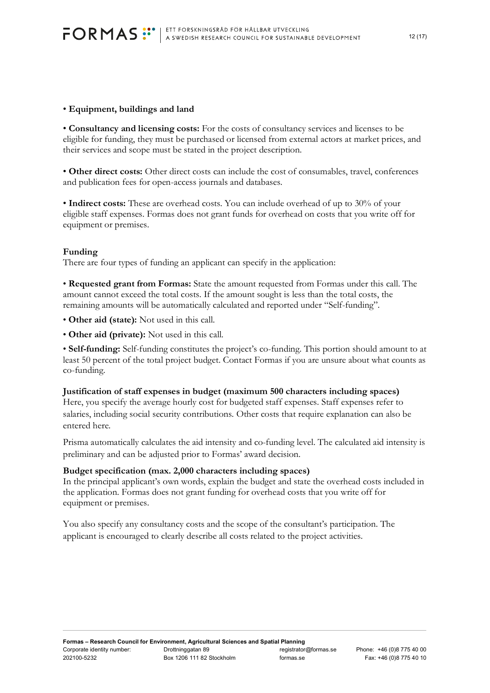#### • **Equipment, buildings and land**

• **Consultancy and licensing costs:** For the costs of consultancy services and licenses to be eligible for funding, they must be purchased or licensed from external actors at market prices, and their services and scope must be stated in the project description.

• **Other direct costs:** Other direct costs can include the cost of consumables, travel, conferences and publication fees for open-access journals and databases.

• **Indirect costs:** These are overhead costs. You can include overhead of up to 30% of your eligible staff expenses. Formas does not grant funds for overhead on costs that you write off for equipment or premises.

#### **Funding**

There are four types of funding an applicant can specify in the application:

• **Requested grant from Formas:** State the amount requested from Formas under this call. The amount cannot exceed the total costs. If the amount sought is less than the total costs, the remaining amounts will be automatically calculated and reported under "Self-funding".

• **Other aid (state):** Not used in this call.

• **Other aid (private):** Not used in this call.

• **Self-funding:** Self-funding constitutes the project's co-funding. This portion should amount to at least 50 percent of the total project budget. Contact Formas if you are unsure about what counts as co-funding.

#### **Justification of staff expenses in budget (maximum 500 characters including spaces)**

Here, you specify the average hourly cost for budgeted staff expenses. Staff expenses refer to salaries, including social security contributions. Other costs that require explanation can also be entered here.

Prisma automatically calculates the aid intensity and co-funding level. The calculated aid intensity is preliminary and can be adjusted prior to Formas' award decision.

#### **Budget specification (max. 2,000 characters including spaces)**

In the principal applicant's own words, explain the budget and state the overhead costs included in the application. Formas does not grant funding for overhead costs that you write off for equipment or premises.

You also specify any consultancy costs and the scope of the consultant's participation. The applicant is encouraged to clearly describe all costs related to the project activities.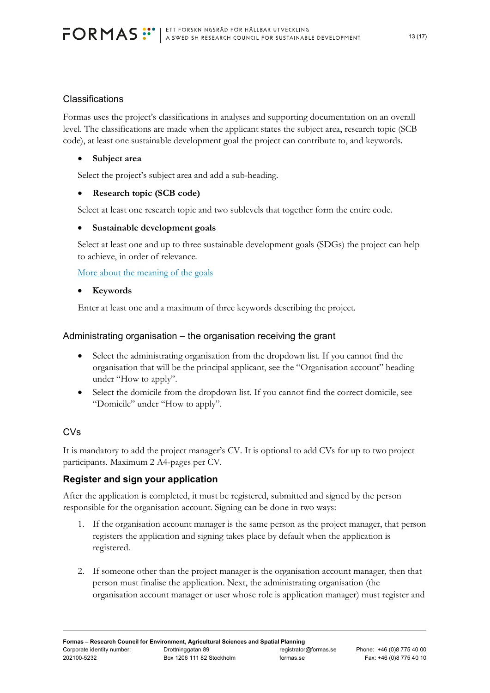## **Classifications**

Formas uses the project's classifications in analyses and supporting documentation on an overall level. The classifications are made when the applicant states the subject area, research topic (SCB code), at least one sustainable development goal the project can contribute to, and keywords.

### • **Subject area**

Select the project's subject area and add a sub-heading.

## • **Research topic (SCB code)**

Select at least one research topic and two sublevels that together form the entire code.

### • **Sustainable development goals**

Select at least one and up to three sustainable development goals (SDGs) the project can help to achieve, in order of relevance.

[More about the meaning of the goals](https://www.un.org/sustainabledevelopment/sustainable-development-goals/)

### • **Keywords**

Enter at least one and a maximum of three keywords describing the project.

## Administrating organisation – the organisation receiving the grant

- Select the administrating organisation from the dropdown list. If you cannot find the organisation that will be the principal applicant, see the "Organisation account" heading under "How to apply".
- Select the domicile from the dropdown list. If you cannot find the correct domicile, see "Domicile" under "How to apply".

# CVs

It is mandatory to add the project manager's CV. It is optional to add CVs for up to two project participants. Maximum 2 A4-pages per CV.

# **Register and sign your application**

After the application is completed, it must be registered, submitted and signed by the person responsible for the organisation account. Signing can be done in two ways:

- 1. If the organisation account manager is the same person as the project manager, that person registers the application and signing takes place by default when the application is registered.
- 2. If someone other than the project manager is the organisation account manager, then that person must finalise the application. Next, the administrating organisation (the organisation account manager or user whose role is application manager) must register and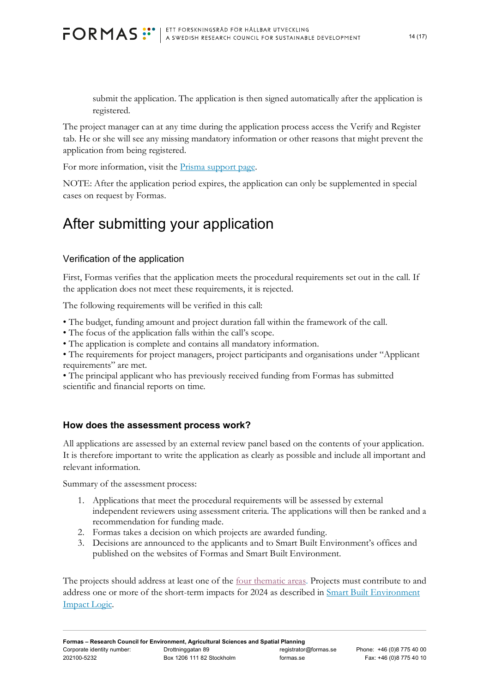submit the application. The application is then signed automatically after the application is registered.

The project manager can at any time during the application process access the Verify and Register tab. He or she will see any missing mandatory information or other reasons that might prevent the application from being registered.

For more information, visit the [Prisma support page.](https://prismasupport.research.se/user-manual/organisation-account.html)

NOTE: After the application period expires, the application can only be supplemented in special cases on request by Formas.

# <span id="page-13-0"></span>After submitting your application

# Verification of the application

First, Formas verifies that the application meets the procedural requirements set out in the call. If the application does not meet these requirements, it is rejected.

The following requirements will be verified in this call:

- The budget, funding amount and project duration fall within the framework of the call.
- The focus of the application falls within the call's scope.
- The application is complete and contains all mandatory information.

• The requirements for project managers, project participants and organisations under "Applicant requirements" are met.

• The principal applicant who has previously received funding from Formas has submitted scientific and financial reports on time.

### <span id="page-13-1"></span>**How does the assessment process work?**

All applications are assessed by an external review panel based on the contents of your application. It is therefore important to write the application as clearly as possible and include all important and relevant information.

Summary of the assessment process:

- 1. Applications that meet the procedural requirements will be assessed by external independent reviewers using assessment criteria. The applications will then be ranked and a recommendation for funding made.
- 2. Formas takes a decision on which projects are awarded funding.
- 3. Decisions are announced to the applicants and to Smart Built Environment's offices and published on the websites of Formas and Smart Built Environment.

The projects should address at least one of the [four thematic areas.](https://smartbuilt.se/in-english/thematic-areas/) Projects must contribute to and address one or more of the short-term impacts for 2024 as described in [Smart Built Environment](https://smartbuilt.se/media/4trkgu5c/effektlogik-version-2-0.pdf)  [Impact Logic.](https://smartbuilt.se/media/4trkgu5c/effektlogik-version-2-0.pdf)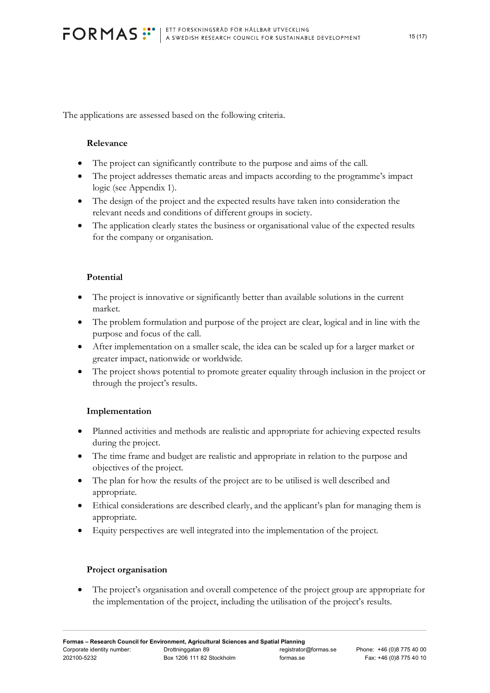<span id="page-14-0"></span>The applications are assessed based on the following criteria.

### **Relevance**

- The project can significantly contribute to the purpose and aims of the call.
- The project addresses thematic areas and impacts according to the programme's impact logic (see Appendix 1).
- The design of the project and the expected results have taken into consideration the relevant needs and conditions of different groups in society.
- The application clearly states the business or organisational value of the expected results for the company or organisation.

### <span id="page-14-1"></span>**Potential**

- The project is innovative or significantly better than available solutions in the current market.
- The problem formulation and purpose of the project are clear, logical and in line with the purpose and focus of the call.
- After implementation on a smaller scale, the idea can be scaled up for a larger market or greater impact, nationwide or worldwide.
- The project shows potential to promote greater equality through inclusion in the project or through the project's results.

### <span id="page-14-2"></span>**Implementation**

- Planned activities and methods are realistic and appropriate for achieving expected results during the project.
- The time frame and budget are realistic and appropriate in relation to the purpose and objectives of the project.
- The plan for how the results of the project are to be utilised is well described and appropriate.
- Ethical considerations are described clearly, and the applicant's plan for managing them is appropriate.
- Equity perspectives are well integrated into the implementation of the project.

#### <span id="page-14-3"></span>**Project organisation**

• The project's organisation and overall competence of the project group are appropriate for the implementation of the project, including the utilisation of the project's results.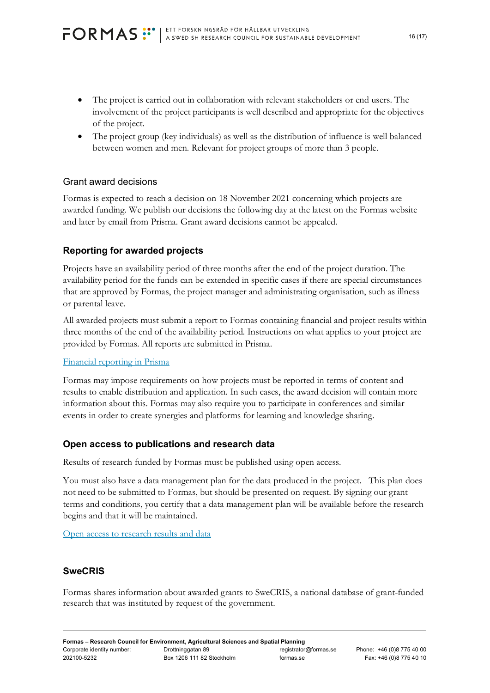- The project is carried out in collaboration with relevant stakeholders or end users. The involvement of the project participants is well described and appropriate for the objectives of the project.
- The project group (key individuals) as well as the distribution of influence is well balanced between women and men. Relevant for project groups of more than 3 people.

## Grant award decisions

Formas is expected to reach a decision on 18 November 2021 concerning which projects are awarded funding. We publish our decisions the following day at the latest on the Formas website and later by email from Prisma. Grant award decisions cannot be appealed.

# <span id="page-15-0"></span>**Reporting for awarded projects**

Projects have an availability period of three months after the end of the project duration. The availability period for the funds can be extended in specific cases if there are special circumstances that are approved by Formas, the project manager and administrating organisation, such as illness or parental leave.

All awarded projects must submit a report to Formas containing financial and project results within three months of the end of the availability period. Instructions on what applies to your project are provided by Formas. All reports are submitted in Prisma.

### [Financial reporting in Prisma](https://formas.se/download/18.166aa05167c62dff5d727c0/1550737640677/Ekonomisk%20%C3%A5terrapportering%20i%20Prisma.pdf)

Formas may impose requirements on how projects must be reported in terms of content and results to enable distribution and application. In such cases, the award decision will contain more information about this. Formas may also require you to participate in conferences and similar events in order to create synergies and platforms for learning and knowledge sharing.

### <span id="page-15-1"></span>**Open access to publications and research data**

Results of research funded by Formas must be published using open access.

You must also have a data management plan for the data produced in the project. This plan does not need to be submitted to Formas, but should be presented on request. By signing our grant terms and conditions, you certify that a data management plan will be available before the research begins and that it will be maintained.

[Open access to research results and data](https://www.formas.se/en/start-page/applying-for-funding/how-it-works/good-to-know-before-you-apply.html#h-Oppentillgangtillforskningsresultatochdata)

# <span id="page-15-2"></span>**SweCRIS**

Formas shares information about awarded grants to SweCRIS, a national database of grant-funded research that was instituted by request of the government.